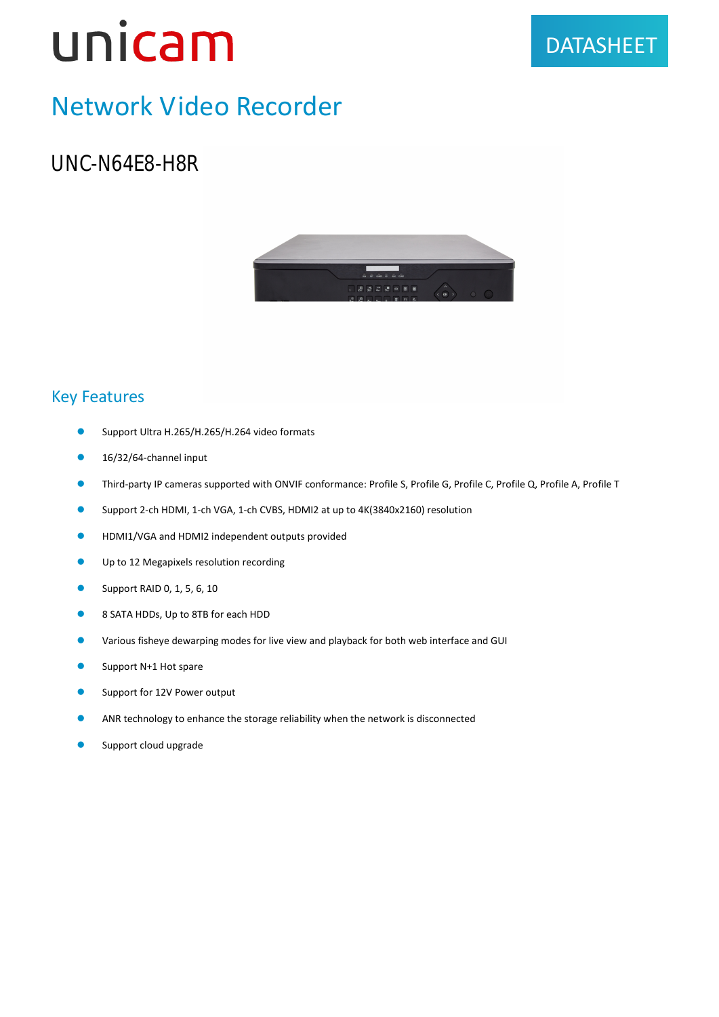### Network Video Recorder

UNC-N64E8-H8R

#### Key Features

- Support Ultra H.265/H.265/H.264 video formats
- $\bullet$  16/32/64-channel input
- Third-party IP cameras supported with ONVIF conformance: Profile S, Profile G, Profile C, Profile Q, Profile A, Profile T
- Support 2-ch HDMI, 1-ch VGA, 1-ch CVBS, HDMI2 at up to 4K(3840x2160) resolution
- **HDMI1/VGA and HDMI2 independent outputs provided**
- **Up to 12 Megapixels resolution recording**
- **Support RAID 0, 1, 5, 6, 10**
- 8 SATA HDDs, Up to 8TB for each HDD
- Various fisheye dewarping modes for live view and playback for both web interface and GUI
- **Support N+1 Hot spare**
- **Support for 12V Power output**
- ANR technology to enhance the storage reliability when the network is disconnected
- **Support cloud upgrade**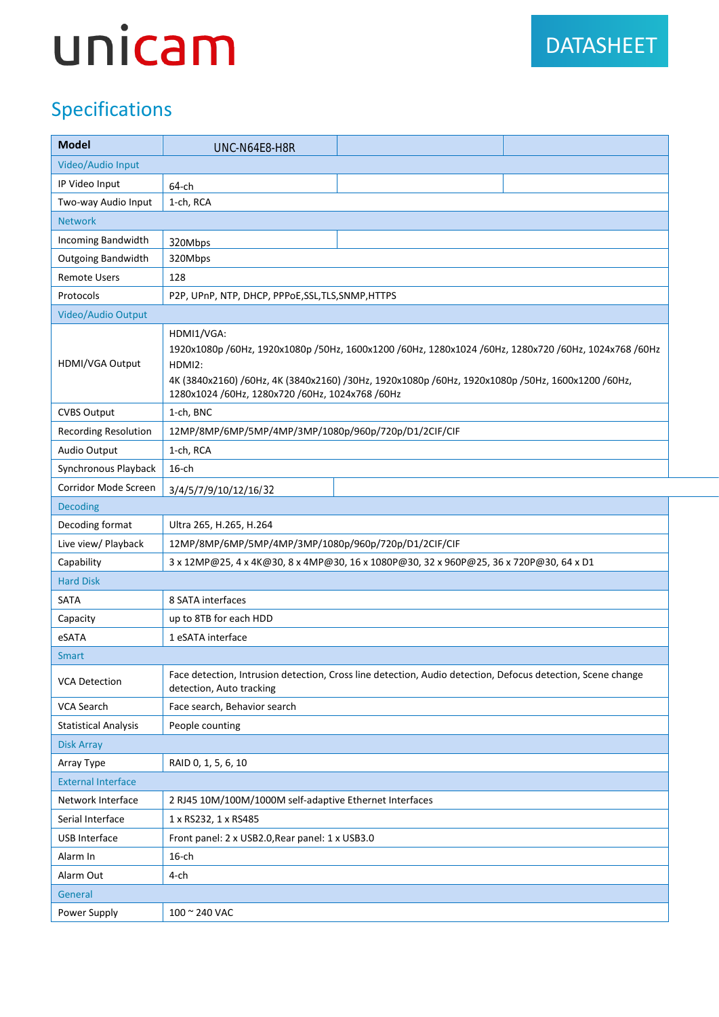#### Specifications

| <b>Model</b>                | UNC-N64E8-H8R                                                                                                                                                                                                                                                                       |  |
|-----------------------------|-------------------------------------------------------------------------------------------------------------------------------------------------------------------------------------------------------------------------------------------------------------------------------------|--|
| Video/Audio Input           |                                                                                                                                                                                                                                                                                     |  |
| IP Video Input              | 64-ch                                                                                                                                                                                                                                                                               |  |
| Two-way Audio Input         | 1-ch, RCA                                                                                                                                                                                                                                                                           |  |
| <b>Network</b>              |                                                                                                                                                                                                                                                                                     |  |
| Incoming Bandwidth          | 320Mbps                                                                                                                                                                                                                                                                             |  |
| <b>Outgoing Bandwidth</b>   | 320Mbps                                                                                                                                                                                                                                                                             |  |
| <b>Remote Users</b>         | 128                                                                                                                                                                                                                                                                                 |  |
| Protocols                   | P2P, UPnP, NTP, DHCP, PPPoE,SSL,TLS,SNMP,HTTPS                                                                                                                                                                                                                                      |  |
| Video/Audio Output          |                                                                                                                                                                                                                                                                                     |  |
| HDMI/VGA Output             | HDMI1/VGA:<br>1920x1080p /60Hz, 1920x1080p /50Hz, 1600x1200 /60Hz, 1280x1024 /60Hz, 1280x720 /60Hz, 1024x768 /60Hz<br>HDMI2:<br>4K (3840x2160) /60Hz, 4K (3840x2160) /30Hz, 1920x1080p /60Hz, 1920x1080p /50Hz, 1600x1200 /60Hz,<br>1280x1024 /60Hz, 1280x720 /60Hz, 1024x768 /60Hz |  |
| <b>CVBS Output</b>          | 1-ch, BNC                                                                                                                                                                                                                                                                           |  |
| <b>Recording Resolution</b> | 12MP/8MP/6MP/5MP/4MP/3MP/1080p/960p/720p/D1/2CIF/CIF                                                                                                                                                                                                                                |  |
| Audio Output                | 1-ch, RCA                                                                                                                                                                                                                                                                           |  |
| Synchronous Playback        | $16$ -ch                                                                                                                                                                                                                                                                            |  |
| Corridor Mode Screen        | 3/4/5/7/9/10/12/16/32                                                                                                                                                                                                                                                               |  |
| <b>Decoding</b>             |                                                                                                                                                                                                                                                                                     |  |
| Decoding format             | Ultra 265, H.265, H.264                                                                                                                                                                                                                                                             |  |
| Live view/ Playback         | 12MP/8MP/6MP/5MP/4MP/3MP/1080p/960p/720p/D1/2CIF/CIF                                                                                                                                                                                                                                |  |
| Capability                  | 3 x 12MP@25, 4 x 4K@30, 8 x 4MP@30, 16 x 1080P@30, 32 x 960P@25, 36 x 720P@30, 64 x D1                                                                                                                                                                                              |  |
| <b>Hard Disk</b>            |                                                                                                                                                                                                                                                                                     |  |
| SATA                        | 8 SATA interfaces                                                                                                                                                                                                                                                                   |  |
| Capacity                    | up to 8TB for each HDD                                                                                                                                                                                                                                                              |  |
| eSATA                       | 1 eSATA interface                                                                                                                                                                                                                                                                   |  |
| <b>Smart</b>                |                                                                                                                                                                                                                                                                                     |  |
| <b>VCA Detection</b>        | Face detection, Intrusion detection, Cross line detection, Audio detection, Defocus detection, Scene change<br>detection, Auto tracking                                                                                                                                             |  |
| VCA Search                  | Face search, Behavior search                                                                                                                                                                                                                                                        |  |
| <b>Statistical Analysis</b> | People counting                                                                                                                                                                                                                                                                     |  |
| <b>Disk Array</b>           |                                                                                                                                                                                                                                                                                     |  |
| Array Type                  | RAID 0, 1, 5, 6, 10                                                                                                                                                                                                                                                                 |  |
| <b>External Interface</b>   |                                                                                                                                                                                                                                                                                     |  |
| Network Interface           | 2 RJ45 10M/100M/1000M self-adaptive Ethernet Interfaces                                                                                                                                                                                                                             |  |
| Serial Interface            | 1 x RS232, 1 x RS485                                                                                                                                                                                                                                                                |  |
| <b>USB Interface</b>        | Front panel: 2 x USB2.0, Rear panel: 1 x USB3.0                                                                                                                                                                                                                                     |  |
| Alarm In                    | $16$ -ch                                                                                                                                                                                                                                                                            |  |
| Alarm Out                   | 4-ch                                                                                                                                                                                                                                                                                |  |
| General                     |                                                                                                                                                                                                                                                                                     |  |
| Power Supply                | 100 ~ 240 VAC                                                                                                                                                                                                                                                                       |  |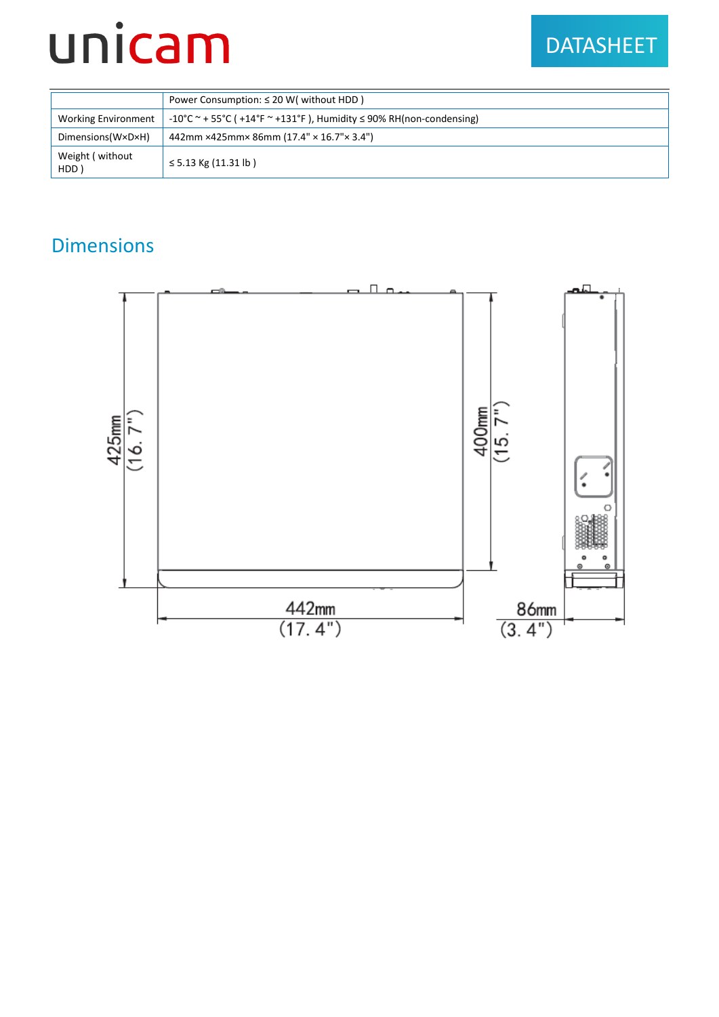### DATASHEET

|                            | Power Consumption: $\leq$ 20 W( without HDD)                                          |
|----------------------------|---------------------------------------------------------------------------------------|
| <b>Working Environment</b> | $-10^{\circ}$ C ~ + 55 °C ( +14 °F ~ +131 °F), Humidity $\leq$ 90% RH(non-condensing) |
| Dimensions(W×D×H)          | 442mm ×425mm× 86mm (17.4" × 16.7" × 3.4")                                             |
| Weight (without)<br>HDD)   | $\le$ 5.13 Kg (11.31 lb)                                                              |

#### Dimensions